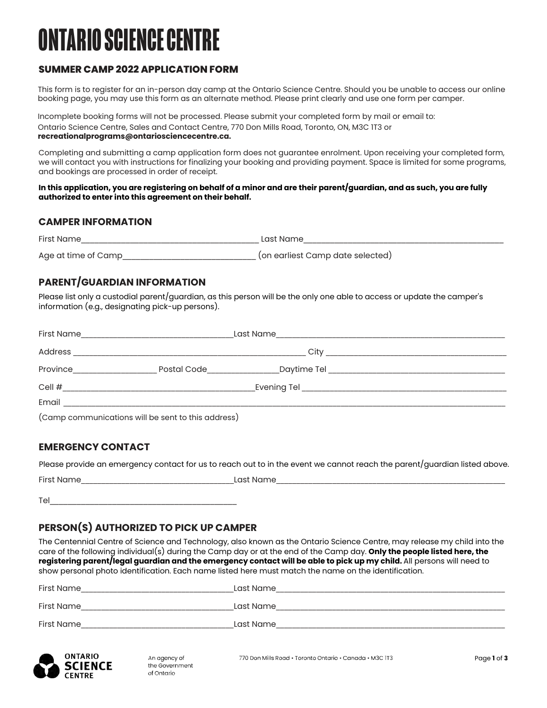# **ONTARIO SCIENCE CENTRE**

## **SUMMER CAMP 2022 APPLICATION FORM**

This form is to register for an in-person day camp at the Ontario Science Centre. Should you be unable to access our online booking page, you may use this form as an alternate method. Please print clearly and use one form per camper.

Incomplete booking forms will not be processed. Please submit your completed form by mail or email to: Ontario Science Centre, Sales and Contact Centre, 770 Don Mills Road, Toronto, ON, M3C 1T3 or **[recreationalprograms@ontariosciencecentre.ca](mailto:recreationalprograms@ontariosciencecentre.ca).**

Completing and submitting a camp application form does not guarantee enrolment. Upon receiving your completed form, we will contact you with instructions for finalizing your booking and providing payment. Space is limited for some programs, and bookings are processed in order of receipt.

#### **In this application, you are registering on behalf of a minor and are their parent/guardian, and as such, you are fully authorized to enter into this agreement on their behalf.**

#### **CAMPER INFORMATION**

| <b>First Name</b>   | last Name                        |
|---------------------|----------------------------------|
| Age at time of Camp | (on earliest Camp date selected) |

## **PARENT/GUARDIAN INFORMATION**

Please list only a custodial parent/guardian, as this person will be the only one able to access or update the camper's information (e.g., designating pick-up persons).

| First Name | Last Name                                                                                                       |      |                                                               |
|------------|-----------------------------------------------------------------------------------------------------------------|------|---------------------------------------------------------------|
| Address    |                                                                                                                 | City | <u> 1980 - Jan Barbarat, martin da shekara 1980 - An an A</u> |
| Province   | Postal Code                                                                                                     |      |                                                               |
| Cell $#$   |                                                                                                                 |      |                                                               |
| Email      |                                                                                                                 |      |                                                               |
| $\sqrt{2}$ | the contract of the contract of the contract of the contract of the contract of the contract of the contract of |      |                                                               |

(Camp communications will be sent to this address)

## **EMERGENCY CONTACT**

Please provide an emergency contact for us to reach out to in the event we cannot reach the parent/guardian listed above.

| First<br>$\mathbf{N}$ | $\cap$ c<br>NL<br>- - |  |
|-----------------------|-----------------------|--|
|                       |                       |  |

 $\mathsf{Tel}$ 

## **PERSON(S) AUTHORIZED TO PICK UP CAMPER**

The Centennial Centre of Science and Technology, also known as the Ontario Science Centre, may release my child into the care of the following individual(s) during the Camp day or at the end of the Camp day. **Only the people listed here, the registering parent/legal guardian and the emergency contact will be able to pick up my child.** All persons will need to show personal photo identification. Each name listed here must match the name on the identification.

| Last Name |
|-----------|
|           |
| Last Name |
| Last Name |
|           |

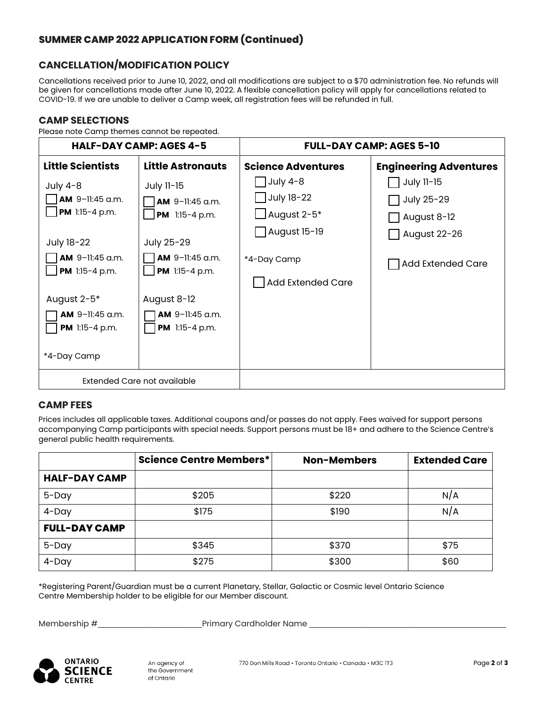# **CANCELLATION/MODIFICATION POLICY**

Cancellations received prior to June 10, 2022, and all modifications are subject to a \$70 administration fee. No refunds will be given for cancellations made after June 10, 2022. A flexible cancellation policy will apply for cancellations related to COVID-19. If we are unable to deliver a Camp week, all registration fees will be refunded in full.

#### **CAMP SELECTIONS**

Please note Camp themes cannot be repeated.

| <b>HALF-DAY CAMP: AGES 4-5</b>                                                                                                                                                      |                                                                                                                                                               | <b>FULL-DAY CAMP: AGES 5-10</b>                                                                                        |                                                                                     |  |
|-------------------------------------------------------------------------------------------------------------------------------------------------------------------------------------|---------------------------------------------------------------------------------------------------------------------------------------------------------------|------------------------------------------------------------------------------------------------------------------------|-------------------------------------------------------------------------------------|--|
| <b>Little Scientists</b>                                                                                                                                                            | <b>Little Astronauts</b>                                                                                                                                      | <b>Science Adventures</b>                                                                                              | <b>Engineering Adventures</b>                                                       |  |
| July $4-8$<br>AM 9-11:45 a.m.<br>PM 1:15-4 p.m.<br>July 18-22<br><b>AM</b> 9-11:45 a.m.<br>PM 1:15-4 p.m.<br>August 2-5*<br><b>AM</b> 9-11:45 a.m.<br>PM 1:15-4 p.m.<br>*4-Day Camp | July 11-15<br>AM 9-11:45 a.m.<br>PM 1:15-4 p.m.<br>July 25-29<br>AM 9-11:45 a.m.<br>PM 1:15-4 p.m.<br>August 8-12<br>AM 9-11:45 a.m.<br><b>PM</b> 1:15-4 p.m. | $\vert$ July 4-8<br>$\Box$ July 18-22<br>$\Box$ August 2-5*<br>August 15-19<br>*4-Day Camp<br><b>Add Extended Care</b> | July 11-15<br>July 25-29<br>August 8-12<br>August 22-26<br><b>Add Extended Care</b> |  |
|                                                                                                                                                                                     | Extended Care not available                                                                                                                                   |                                                                                                                        |                                                                                     |  |

## **CAMP FEES**

Prices includes all applicable taxes. Additional coupons and/or passes do not apply. Fees waived for support persons accompanying Camp participants with special needs. Support persons must be 18+ and adhere to the Science Centre's general public health requirements.

|                      | <b>Science Centre Members*</b> | <b>Non-Members</b> | <b>Extended Care</b> |
|----------------------|--------------------------------|--------------------|----------------------|
| <b>HALF-DAY CAMP</b> |                                |                    |                      |
| $5 - Day$            | \$205                          | \$220              | N/A                  |
| $4$ -Day             | \$175                          | \$190              | N/A                  |
| <b>FULL-DAY CAMP</b> |                                |                    |                      |
| $5 - Day$            | \$345                          | \$370              | \$75                 |
| $4$ -Day             | \$275                          | \$300              | \$60                 |

\* Registering Parent/Guardian must be a current Planetary, Stellar, Galactic or Cosmic level Ontario Science Centre Membership holder to be eligible for our Member discount.

Membership #\_\_\_\_\_\_\_\_\_\_\_\_\_\_\_\_\_\_\_\_\_\_\_\_\_\_Primary Cardholder Name \_\_\_\_\_\_\_\_\_\_\_\_\_\_\_\_\_\_\_\_\_\_\_\_\_\_\_\_\_\_\_\_\_\_\_\_\_\_\_\_\_\_\_\_\_\_\_\_\_